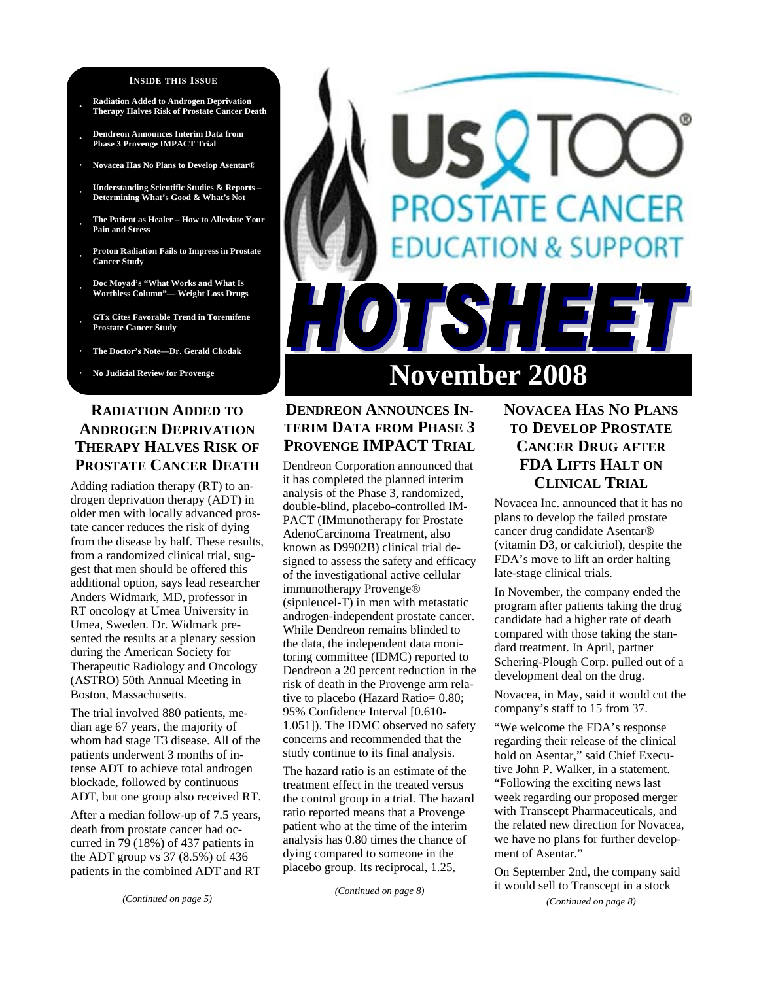#### **INSIDE THIS ISSUE**

- **· Radiation Added to Androgen Deprivation Therapy Halves Risk of Prostate Cancer Death**
- **· Dendreon Announces Interim Data from Phase 3 Provenge IMPACT Trial**
- **· Novacea Has No Plans to Develop Asentar®**
- **· Understanding Scientific Studies & Reports Determining What's Good & What's Not**
- **· The Patient as Healer How to Alleviate Your Pain and Stress**
- **· Proton Radiation Fails to Impress in Prostate Cancer Study**
- **· Doc Moyad's "What Works and What Is Worthless Column"— Weight Loss Drugs**
- **· GTx Cites Favorable Trend in Toremifene Prostate Cancer Study**
- **· The Doctor's Note—Dr. Gerald Chodak**
- No Judicial Review for Provenge **November 2008**

## **RADIATION ADDED TO ANDROGEN DEPRIVATION THERAPY HALVES RISK OF PROSTATE CANCER DEATH**

Adding radiation therapy (RT) to androgen deprivation therapy (ADT) in older men with locally advanced prostate cancer reduces the risk of dying from the disease by half. These results, from a randomized clinical trial, suggest that men should be offered this additional option, says lead researcher Anders Widmark, MD, professor in RT oncology at Umea University in Umea, Sweden. Dr. Widmark presented the results at a plenary session during the American Society for Therapeutic Radiology and Oncology (ASTRO) 50th Annual Meeting in Boston, Massachusetts.

The trial involved 880 patients, median age 67 years, the majority of whom had stage T3 disease. All of the patients underwent 3 months of intense ADT to achieve total androgen blockade, followed by continuous ADT, but one group also received RT.

After a median follow-up of 7.5 years, death from prostate cancer had occurred in 79 (18%) of 437 patients in the ADT group vs 37 (8.5%) of 436 patients in the combined ADT and RT

study continue to its final analysis.

The hazard ratio is an estimate of the treatment effect in the treated versus the control group in a trial. The hazard ratio reported means that a Provenge patient who at the time of the interim analysis has 0.80 times the chance of dying compared to someone in the placebo group. Its reciprocal, 1.25,

**DENDREON ANNOUNCES IN-TERIM DATA FROM PHASE 3 PROVENGE IMPACT TRIAL** Dendreon Corporation announced that it has completed the planned interim analysis of the Phase 3, randomized, double-blind, placebo-controlled IM-PACT (IMmunotherapy for Prostate AdenoCarcinoma Treatment, also known as D9902B) clinical trial designed to assess the safety and efficacy of the investigational active cellular immunotherapy Provenge®

(sipuleucel-T) in men with metastatic androgen-independent prostate cancer. While Dendreon remains blinded to the data, the independent data monitoring committee (IDMC) reported to Dendreon a 20 percent reduction in the risk of death in the Provenge arm relative to placebo (Hazard Ratio= 0.80; 95% Confidence Interval [0.610- 1.051]). The IDMC observed no safety concerns and recommended that the

*(Continued on page 8)* 

## **NOVACEA HAS NO PLANS TO DEVELOP PROSTATE CANCER DRUG AFTER FDA LIFTS HALT ON CLINICAL TRIAL**

**STATE CANCER** 

**N & SUPPORT** 

Novacea Inc. announced that it has no plans to develop the failed prostate cancer drug candidate Asentar® (vitamin D3, or calcitriol), despite the FDA's move to lift an order halting late-stage clinical trials.

In November, the company ended the program after patients taking the drug candidate had a higher rate of death compared with those taking the standard treatment. In April, partner Schering-Plough Corp. pulled out of a development deal on the drug.

Novacea, in May, said it would cut the company's staff to 15 from 37.

"We welcome the FDA's response regarding their release of the clinical hold on Asentar," said Chief Executive John P. Walker, in a statement. "Following the exciting news last week regarding our proposed merger with Transcept Pharmaceuticals, and the related new direction for Novacea, we have no plans for further development of Asentar."

On September 2nd, the company said it would sell to Transcept in a stock *(Continued on page 8)*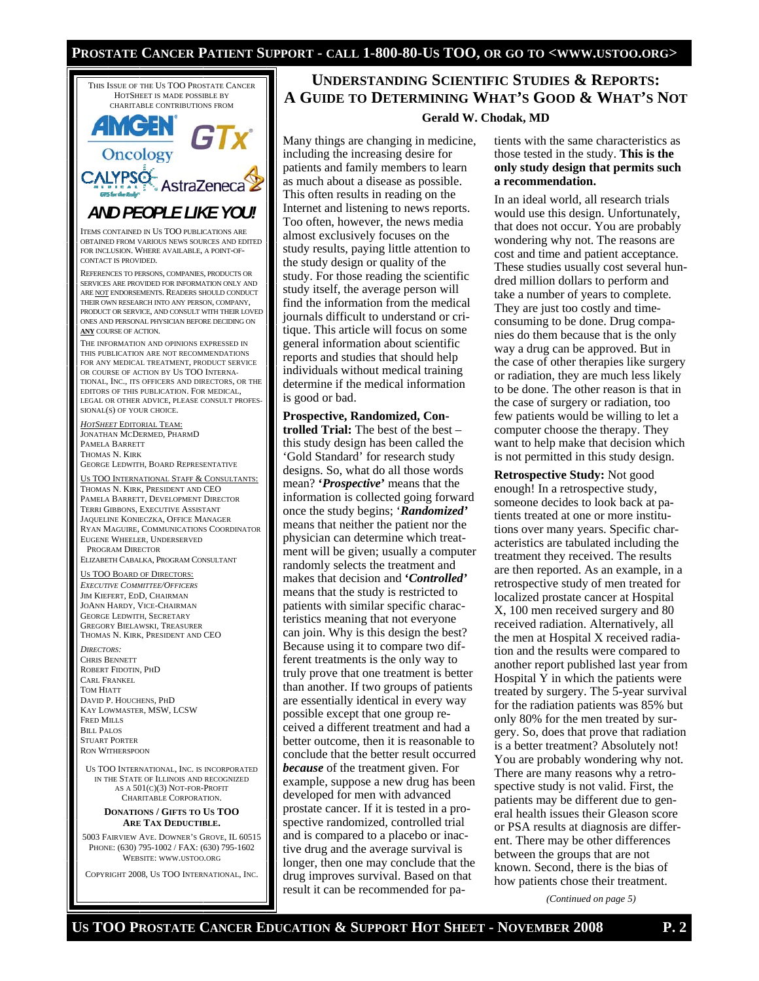### **PROSTATE CANCER PATIENT SUPPORT - CALL 1-800-80-US TOO, OR GO TO <WWW.USTOO.ORG>**



JAQUELINE KONIECZKA, OFFICE MANAGER RYAN MAGUIRE, COMMUNICATIONS COORDINATOR EUGENE WHEELER, UNDERSERVED PROGRAM DIRECTOR ELIZABETH CABALKA, PROGRAM CONSULTANT

US TOO BOARD OF DIRECTORS: *EXECUTIVE COMMITTEE/OFFICERS* JIM KIEFERT, EDD, CHAIRMAN JOANN HARDY, VICE-CHAIRMAN GEORGE LEDWITH, SECRETARY GREGORY BIELAWSKI, TREASURER THOMAS N. KIRK, PRESIDENT AND CEO

*DIRECTORS:*  CHRIS BENNETT ROBERT FIDOTIN, PHD CARL FRANKEL TOM HIATT DAVID P. HOUCHENS, PHD KAY LOWMASTER, MSW, LCSW FRED MILLS BILL PALOS STUART PORTER RON WITHERSPOON

US TOO INTERNATIONAL, INC. IS INCORPORATED IN THE STATE OF ILLINOIS AND RECOGNIZED AS A 501(C)(3) NOT-FOR-PROFIT CHARITABLE CORPORATION.

> **DONATIONS / GIFTS TO US TOO ARE TAX DEDUCTIBLE.**

5003 FAIRVIEW AVE. DOWNER'S GROVE, IL 60515 PHONE: (630) 795-1002 / FAX: (630) 795-1602 WEBSITE: WWW.USTOO.ORG

COPYRIGHT 2008, US TOO INTERNATIONAL, INC.

# **UNDERSTANDING SCIENTIFIC STUDIES & REPORTS: A GUIDE TO DETERMINING WHAT'S GOOD & WHAT'S NOT**

## **Gerald W. Chodak, MD**

Many things are changing in medicine, including the increasing desire for patients and family members to learn as much about a disease as possible. This often results in reading on the Internet and listening to news reports. Too often, however, the news media almost exclusively focuses on the study results, paying little attention to the study design or quality of the study. For those reading the scientific study itself, the average person will find the information from the medical journals difficult to understand or critique. This article will focus on some general information about scientific reports and studies that should help individuals without medical training determine if the medical information is good or bad.

**Prospective, Randomized, Controlled Trial:** The best of the best – this study design has been called the 'Gold Standard' for research study designs. So, what do all those words mean? **'***Prospective***'** means that the information is collected going forward once the study begins; '*Randomized'* means that neither the patient nor the physician can determine which treatment will be given; usually a computer randomly selects the treatment and makes that decision and **'***Controlled'* means that the study is restricted to patients with similar specific characteristics meaning that not everyone can join. Why is this design the best? Because using it to compare two different treatments is the only way to truly prove that one treatment is better than another. If two groups of patients are essentially identical in every way possible except that one group received a different treatment and had a better outcome, then it is reasonable to conclude that the better result occurred *because* of the treatment given. For example, suppose a new drug has been developed for men with advanced prostate cancer. If it is tested in a prospective randomized, controlled trial and is compared to a placebo or inactive drug and the average survival is longer, then one may conclude that the drug improves survival. Based on that result it can be recommended for patients with the same characteristics as those tested in the study. **This is the only study design that permits such a recommendation.** 

In an ideal world, all research trials would use this design. Unfortunately, that does not occur. You are probably wondering why not. The reasons are cost and time and patient acceptance. These studies usually cost several hundred million dollars to perform and take a number of years to complete. They are just too costly and timeconsuming to be done. Drug companies do them because that is the only way a drug can be approved. But in the case of other therapies like surgery or radiation, they are much less likely to be done. The other reason is that in the case of surgery or radiation, too few patients would be willing to let a computer choose the therapy. They want to help make that decision which is not permitted in this study design.

**Retrospective Study:** Not good enough! In a retrospective study, someone decides to look back at patients treated at one or more institutions over many years. Specific characteristics are tabulated including the treatment they received. The results are then reported. As an example, in a retrospective study of men treated for localized prostate cancer at Hospital X, 100 men received surgery and 80 received radiation. Alternatively, all the men at Hospital X received radiation and the results were compared to another report published last year from Hospital Y in which the patients were treated by surgery. The 5-year survival for the radiation patients was 85% but only 80% for the men treated by surgery. So, does that prove that radiation is a better treatment? Absolutely not! You are probably wondering why not. There are many reasons why a retrospective study is not valid. First, the patients may be different due to general health issues their Gleason score or PSA results at diagnosis are different. There may be other differences between the groups that are not known. Second, there is the bias of how patients chose their treatment.

*(Continued on page 5)*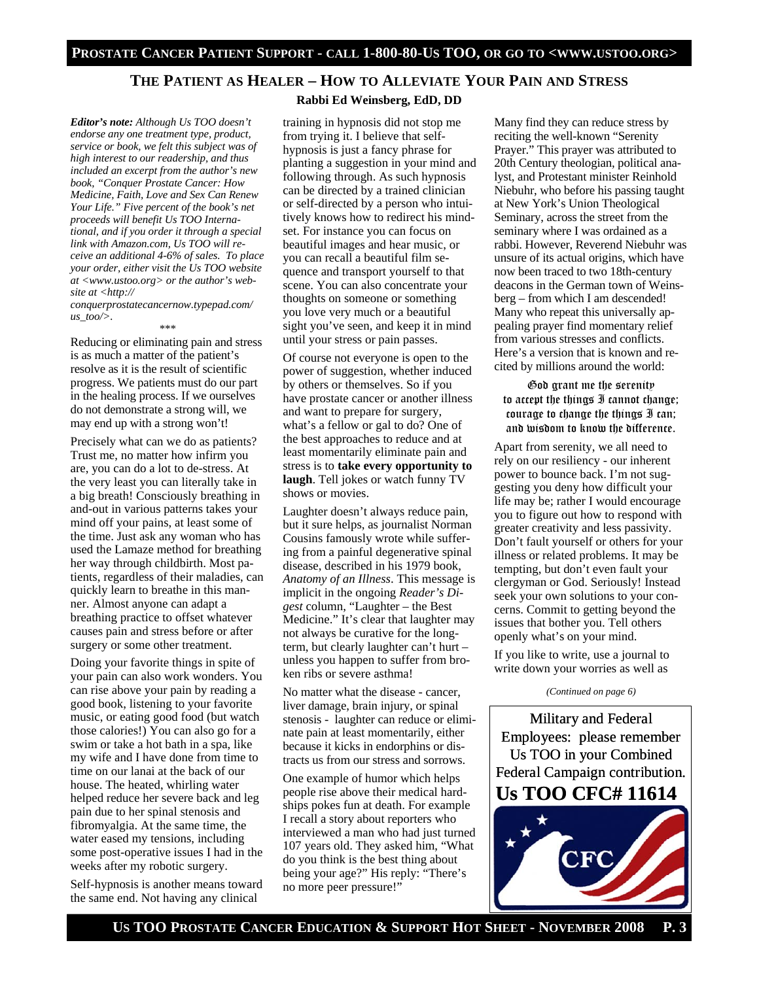## **THE PATIENT AS HEALER – HOW TO ALLEVIATE YOUR PAIN AND STRESS**

*Editor's note: Although Us TOO doesn't endorse any one treatment type, product, service or book, we felt this subject was of high interest to our readership, and thus included an excerpt from the author's new book, "Conquer Prostate Cancer: How Medicine, Faith, Love and Sex Can Renew Your Life." Five percent of the book's net proceeds will benefit Us TOO International, and if you order it through a special link with Amazon.com, Us TOO will receive an additional 4-6% of sales. To place your order, either visit the Us TOO website at <www.ustoo.org> or the author's website at <http://*

*conquerprostatecancernow.typepad.com/ us\_too/>. \*\*\** 

Reducing or eliminating pain and stress is as much a matter of the patient's resolve as it is the result of scientific progress. We patients must do our part in the healing process. If we ourselves do not demonstrate a strong will, we may end up with a strong won't!

Precisely what can we do as patients? Trust me, no matter how infirm you are, you can do a lot to de-stress. At the very least you can literally take in a big breath! Consciously breathing in and-out in various patterns takes your mind off your pains, at least some of the time. Just ask any woman who has used the Lamaze method for breathing her way through childbirth. Most patients, regardless of their maladies, can quickly learn to breathe in this manner. Almost anyone can adapt a breathing practice to offset whatever causes pain and stress before or after surgery or some other treatment.

Doing your favorite things in spite of your pain can also work wonders. You can rise above your pain by reading a good book, listening to your favorite music, or eating good food (but watch those calories!) You can also go for a swim or take a hot bath in a spa, like my wife and I have done from time to time on our lanai at the back of our house. The heated, whirling water helped reduce her severe back and leg pain due to her spinal stenosis and fibromyalgia. At the same time, the water eased my tensions, including some post-operative issues I had in the weeks after my robotic surgery.

Self-hypnosis is another means toward the same end. Not having any clinical

#### **Rabbi Ed Weinsberg, EdD, DD**

training in hypnosis did not stop me from trying it. I believe that selfhypnosis is just a fancy phrase for planting a suggestion in your mind and following through. As such hypnosis can be directed by a trained clinician or self-directed by a person who intuitively knows how to redirect his mindset. For instance you can focus on beautiful images and hear music, or you can recall a beautiful film sequence and transport yourself to that scene. You can also concentrate your thoughts on someone or something you love very much or a beautiful sight you've seen, and keep it in mind until your stress or pain passes.

Of course not everyone is open to the power of suggestion, whether induced by others or themselves. So if you have prostate cancer or another illness and want to prepare for surgery, what's a fellow or gal to do? One of the best approaches to reduce and at least momentarily eliminate pain and stress is to **take every opportunity to laugh**. Tell jokes or watch funny TV shows or movies.

Laughter doesn't always reduce pain, but it sure helps, as journalist Norman Cousins famously wrote while suffering from a painful degenerative spinal disease, described in his 1979 book, *Anatomy of an Illness*. This message is implicit in the ongoing *Reader's Digest* column, "Laughter – the Best Medicine." It's clear that laughter may not always be curative for the longterm, but clearly laughter can't hurt – unless you happen to suffer from broken ribs or severe asthma!

No matter what the disease - cancer, liver damage, brain injury, or spinal stenosis - laughter can reduce or eliminate pain at least momentarily, either because it kicks in endorphins or distracts us from our stress and sorrows.

One example of humor which helps people rise above their medical hardships pokes fun at death. For example I recall a story about reporters who interviewed a man who had just turned 107 years old. They asked him, "What do you think is the best thing about being your age?" His reply: "There's no more peer pressure!"

Many find they can reduce stress by reciting the well-known "Serenity Prayer." This prayer was attributed to 20th Century theologian, political analyst, and Protestant minister Reinhold Niebuhr, who before his passing taught at New York's Union Theological Seminary, across the street from the seminary where I was ordained as a rabbi. However, Reverend Niebuhr was unsure of its actual origins, which have now been traced to two 18th-century deacons in the German town of Weinsberg – from which I am descended! Many who repeat this universally appealing prayer find momentary relief from various stresses and conflicts. Here's a version that is known and recited by millions around the world:

### God grant me the serenity to accept the things I cannot change; courage to change the things  $\mathfrak I$  can; and wisdom to know the difference.

Apart from serenity, we all need to rely on our resiliency - our inherent power to bounce back. I'm not suggesting you deny how difficult your life may be; rather I would encourage you to figure out how to respond with greater creativity and less passivity. Don't fault yourself or others for your illness or related problems. It may be tempting, but don't even fault your clergyman or God. Seriously! Instead seek your own solutions to your concerns. Commit to getting beyond the issues that bother you. Tell others openly what's on your mind.

If you like to write, use a journal to write down your worries as well as

*(Continued on page 6)* 

Military and Federal Employees: please remember Us TOO in your Combined Federal Campaign contribution. **Us TOO CFC# 11614**

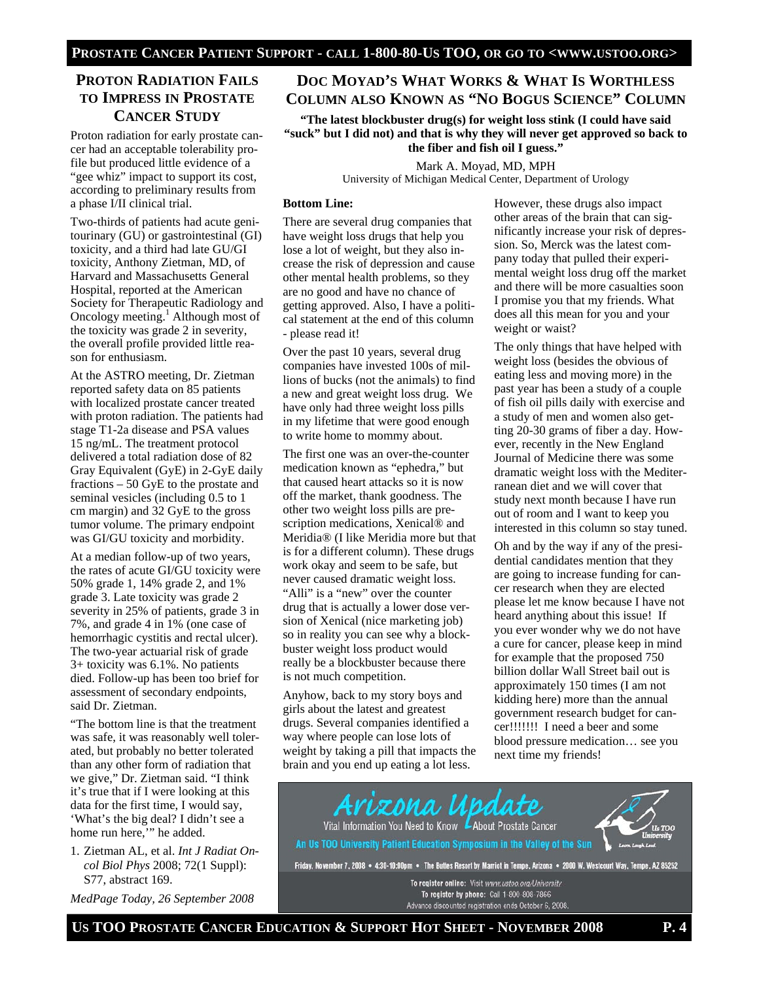## **PROTON RADIATION FAILS TO IMPRESS IN PROSTATE CANCER STUDY**

Proton radiation for early prostate cancer had an acceptable tolerability profile but produced little evidence of a "gee whiz" impact to support its cost, according to preliminary results from a phase I/II clinical trial.

Two-thirds of patients had acute genitourinary (GU) or gastrointestinal (GI) toxicity, and a third had late GU/GI toxicity, Anthony Zietman, MD, of Harvard and Massachusetts General Hospital, reported at the American Society for Therapeutic Radiology and Oncology meeting.<sup>1</sup> Although most of the toxicity was grade 2 in severity, the overall profile provided little reason for enthusiasm.

At the ASTRO meeting, Dr. Zietman reported safety data on 85 patients with localized prostate cancer treated with proton radiation. The patients had stage T1-2a disease and PSA values 15 ng/mL. The treatment protocol delivered a total radiation dose of 82 Gray Equivalent (GyE) in 2-GyE daily fractions – 50 GyE to the prostate and seminal vesicles (including 0.5 to 1 cm margin) and 32 GyE to the gross tumor volume. The primary endpoint was GI/GU toxicity and morbidity.

At a median follow-up of two years, the rates of acute GI/GU toxicity were 50% grade 1, 14% grade 2, and 1% grade 3. Late toxicity was grade 2 severity in 25% of patients, grade 3 in 7%, and grade 4 in 1% (one case of hemorrhagic cystitis and rectal ulcer). The two-year actuarial risk of grade 3+ toxicity was 6.1%. No patients died. Follow-up has been too brief for assessment of secondary endpoints, said Dr. Zietman.

"The bottom line is that the treatment was safe, it was reasonably well tolerated, but probably no better tolerated than any other form of radiation that we give," Dr. Zietman said. "I think it's true that if I were looking at this data for the first time, I would say, 'What's the big deal? I didn't see a home run here," he added.

1. Zietman AL, et al. *Int J Radiat Oncol Biol Phys* 2008; 72(1 Suppl): S77, abstract 169.

*MedPage Today, 26 September 2008* 

## **DOC MOYAD'S WHAT WORKS & WHAT IS WORTHLESS COLUMN ALSO KNOWN AS "NO BOGUS SCIENCE" COLUMN**

**"The latest blockbuster drug(s) for weight loss stink (I could have said "suck" but I did not) and that is why they will never get approved so back to the fiber and fish oil I guess."** 

> Mark A. Moyad, MD, MPH University of Michigan Medical Center, Department of Urology

#### **Bottom Line:**

There are several drug companies that have weight loss drugs that help you lose a lot of weight, but they also increase the risk of depression and cause other mental health problems, so they are no good and have no chance of getting approved. Also, I have a political statement at the end of this column - please read it!

Over the past 10 years, several drug companies have invested 100s of millions of bucks (not the animals) to find a new and great weight loss drug. We have only had three weight loss pills in my lifetime that were good enough to write home to mommy about.

The first one was an over-the-counter medication known as "ephedra," but that caused heart attacks so it is now off the market, thank goodness. The other two weight loss pills are prescription medications, Xenical® and Meridia® (I like Meridia more but that is for a different column). These drugs work okay and seem to be safe, but never caused dramatic weight loss. "Alli" is a "new" over the counter drug that is actually a lower dose version of Xenical (nice marketing job) so in reality you can see why a blockbuster weight loss product would really be a blockbuster because there is not much competition.

Anyhow, back to my story boys and girls about the latest and greatest drugs. Several companies identified a way where people can lose lots of weight by taking a pill that impacts the brain and you end up eating a lot less.

However, these drugs also impact other areas of the brain that can significantly increase your risk of depression. So, Merck was the latest company today that pulled their experimental weight loss drug off the market and there will be more casualties soon I promise you that my friends. What does all this mean for you and your weight or waist?

The only things that have helped with weight loss (besides the obvious of eating less and moving more) in the past year has been a study of a couple of fish oil pills daily with exercise and a study of men and women also getting 20-30 grams of fiber a day. However, recently in the New England Journal of Medicine there was some dramatic weight loss with the Mediterranean diet and we will cover that study next month because I have run out of room and I want to keep you interested in this column so stay tuned.

Oh and by the way if any of the presidential candidates mention that they are going to increase funding for cancer research when they are elected please let me know because I have not heard anything about this issue! If you ever wonder why we do not have a cure for cancer, please keep in mind for example that the proposed 750 billion dollar Wall Street bail out is approximately 150 times (I am not kidding here) more than the annual government research budget for cancer!!!!!!! I need a beer and some blood pressure medication… see you next time my friends!



Friday, November 7, 2008 • 4:30-10:00pm • The Buttes Resort by Marriot in Tempe, Arizona • 2000 W. Westcourt Way, Tempe, AZ 85252

To register online: Visit www.ustoo.org/University To register by phone: Call 1-800-808-7866 Advance discounted registration ends October 6, 2008.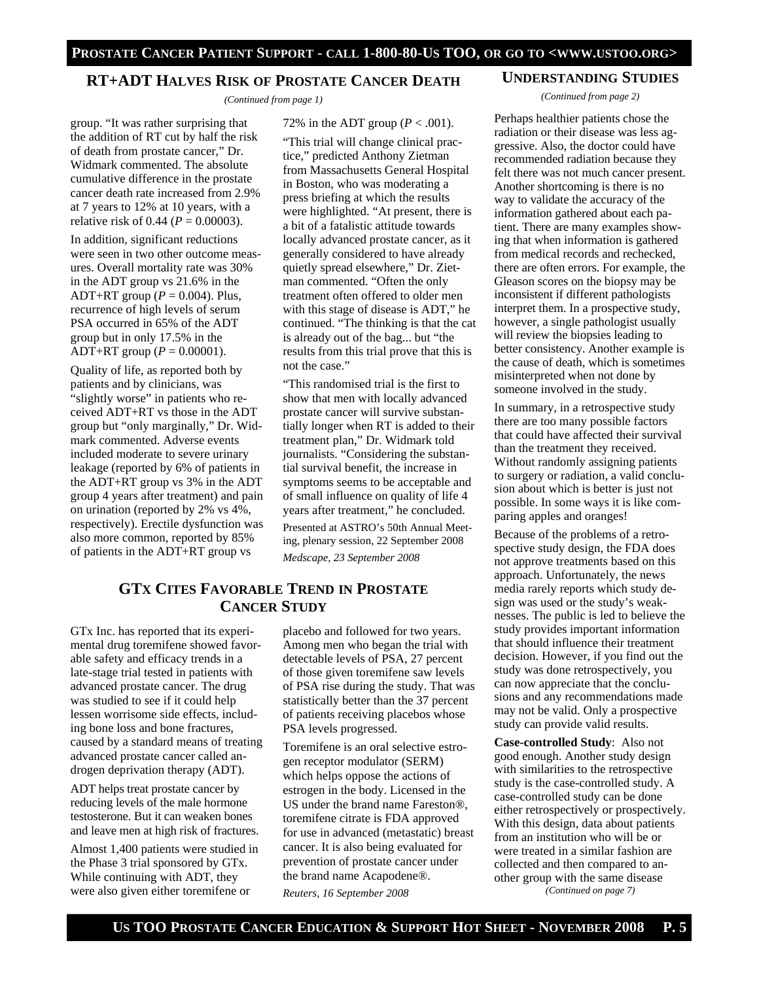## **RT+ADT HALVES RISK OF PROSTATE CANCER DEATH**

*(Continued from page 1)* 

group. "It was rather surprising that the addition of RT cut by half the risk of death from prostate cancer," Dr. Widmark commented. The absolute cumulative difference in the prostate cancer death rate increased from 2.9% at 7 years to 12% at 10 years, with a relative risk of 0.44 (*P* = 0.00003).

In addition, significant reductions were seen in two other outcome measures. Overall mortality rate was 30% in the ADT group vs 21.6% in the ADT+RT group (*P* = 0.004). Plus, recurrence of high levels of serum PSA occurred in 65% of the ADT group but in only 17.5% in the ADT+RT group ( $P = 0.00001$ ).

Quality of life, as reported both by patients and by clinicians, was "slightly worse" in patients who received ADT+RT vs those in the ADT group but "only marginally," Dr. Widmark commented. Adverse events included moderate to severe urinary leakage (reported by 6% of patients in the ADT+RT group vs 3% in the ADT group 4 years after treatment) and pain on urination (reported by 2% vs 4%, respectively). Erectile dysfunction was also more common, reported by 85% of patients in the ADT+RT group vs

72% in the ADT group  $(P < .001)$ .

"This trial will change clinical practice," predicted Anthony Zietman from Massachusetts General Hospital in Boston, who was moderating a press briefing at which the results were highlighted. "At present, there is a bit of a fatalistic attitude towards locally advanced prostate cancer, as it generally considered to have already quietly spread elsewhere," Dr. Zietman commented. "Often the only treatment often offered to older men with this stage of disease is ADT," he continued. "The thinking is that the cat is already out of the bag... but "the results from this trial prove that this is not the case."

"This randomised trial is the first to show that men with locally advanced prostate cancer will survive substantially longer when RT is added to their treatment plan," Dr. Widmark told journalists. "Considering the substantial survival benefit, the increase in symptoms seems to be acceptable and of small influence on quality of life 4 years after treatment," he concluded.

Presented at ASTRO's 50th Annual Meeting, plenary session, 22 September 2008

*Medscape, 23 September 2008* 

## **GTX CITES FAVORABLE TREND IN PROSTATE CANCER STUDY**

GTx Inc. has reported that its experimental drug toremifene showed favorable safety and efficacy trends in a late-stage trial tested in patients with advanced prostate cancer. The drug was studied to see if it could help lessen worrisome side effects, including bone loss and bone fractures, caused by a standard means of treating advanced prostate cancer called androgen deprivation therapy (ADT).

ADT helps treat prostate cancer by reducing levels of the male hormone testosterone. But it can weaken bones and leave men at high risk of fractures.

Almost 1,400 patients were studied in the Phase 3 trial sponsored by GTx. While continuing with ADT, they were also given either toremifene or

placebo and followed for two years. Among men who began the trial with detectable levels of PSA, 27 percent of those given toremifene saw levels of PSA rise during the study. That was statistically better than the 37 percent of patients receiving placebos whose PSA levels progressed.

Toremifene is an oral selective estrogen receptor modulator (SERM) which helps oppose the actions of estrogen in the body. Licensed in the US under the brand name Fareston®, toremifene citrate is FDA approved for use in advanced (metastatic) breast cancer. It is also being evaluated for prevention of prostate cancer under the brand name Acapodene®. *Reuters, 16 September 2008*

**UNDERSTANDING STUDIES**

*(Continued from page 2)* 

Perhaps healthier patients chose the radiation or their disease was less aggressive. Also, the doctor could have recommended radiation because they felt there was not much cancer present. Another shortcoming is there is no way to validate the accuracy of the information gathered about each patient. There are many examples showing that when information is gathered from medical records and rechecked, there are often errors. For example, the Gleason scores on the biopsy may be inconsistent if different pathologists interpret them. In a prospective study, however, a single pathologist usually will review the biopsies leading to better consistency. Another example is the cause of death, which is sometimes misinterpreted when not done by someone involved in the study.

In summary, in a retrospective study there are too many possible factors that could have affected their survival than the treatment they received. Without randomly assigning patients to surgery or radiation, a valid conclusion about which is better is just not possible. In some ways it is like comparing apples and oranges!

Because of the problems of a retrospective study design, the FDA does not approve treatments based on this approach. Unfortunately, the news media rarely reports which study design was used or the study's weaknesses. The public is led to believe the study provides important information that should influence their treatment decision. However, if you find out the study was done retrospectively, you can now appreciate that the conclusions and any recommendations made may not be valid. Only a prospective study can provide valid results.

**Case-controlled Study**: Also not good enough. Another study design with similarities to the retrospective study is the case-controlled study. A case-controlled study can be done either retrospectively or prospectively. With this design, data about patients from an institution who will be or were treated in a similar fashion are collected and then compared to another group with the same disease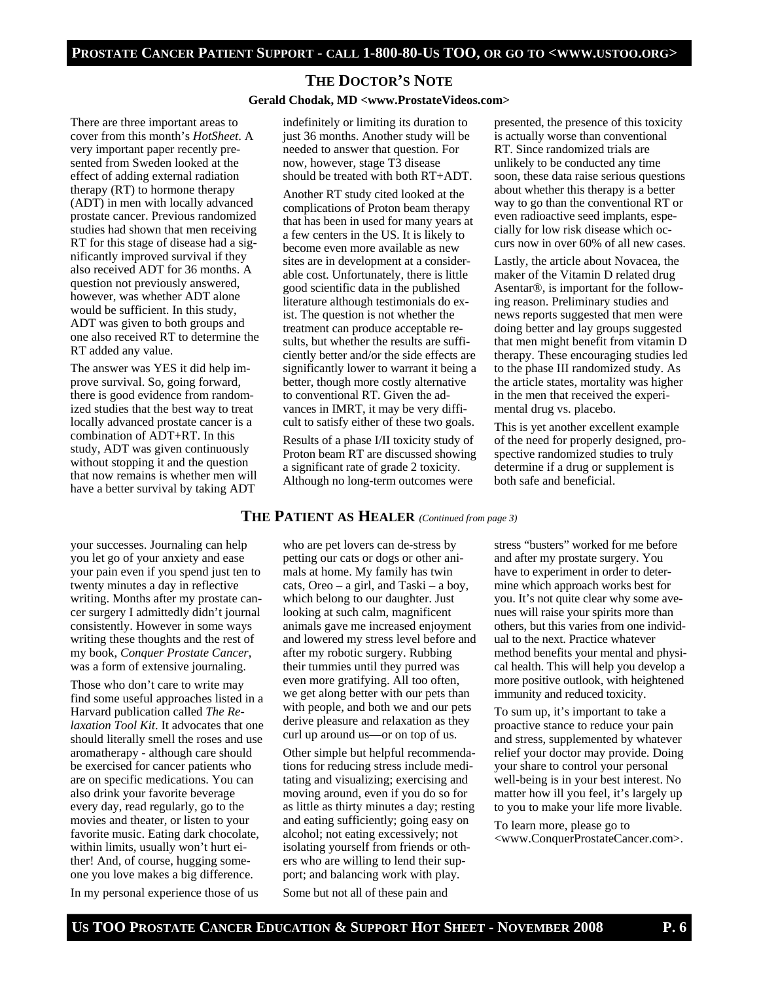### **THE DOCTOR'S NOTE**

#### **Gerald Chodak, MD <www.ProstateVideos.com>**

There are three important areas to cover from this month's *HotSheet*. A very important paper recently presented from Sweden looked at the effect of adding external radiation therapy (RT) to hormone therapy (ADT) in men with locally advanced prostate cancer. Previous randomized studies had shown that men receiving RT for this stage of disease had a significantly improved survival if they also received ADT for 36 months. A question not previously answered, however, was whether ADT alone would be sufficient. In this study, ADT was given to both groups and one also received RT to determine the RT added any value.

The answer was YES it did help improve survival. So, going forward, there is good evidence from randomized studies that the best way to treat locally advanced prostate cancer is a combination of ADT+RT. In this study, ADT was given continuously without stopping it and the question that now remains is whether men will have a better survival by taking ADT

your successes. Journaling can help you let go of your anxiety and ease your pain even if you spend just ten to twenty minutes a day in reflective writing. Months after my prostate cancer surgery I admittedly didn't journal consistently. However in some ways writing these thoughts and the rest of my book, *Conquer Prostate Cancer*, was a form of extensive journaling.

Those who don't care to write may find some useful approaches listed in a Harvard publication called *The Relaxation Tool Kit*. It advocates that one should literally smell the roses and use aromatherapy - although care should be exercised for cancer patients who are on specific medications. You can also drink your favorite beverage every day, read regularly, go to the movies and theater, or listen to your favorite music. Eating dark chocolate, within limits, usually won't hurt either! And, of course, hugging someone you love makes a big difference.

In my personal experience those of us

indefinitely or limiting its duration to just 36 months. Another study will be needed to answer that question. For now, however, stage T3 disease should be treated with both RT+ADT.

Another RT study cited looked at the complications of Proton beam therapy that has been in used for many years at a few centers in the US. It is likely to become even more available as new sites are in development at a considerable cost. Unfortunately, there is little good scientific data in the published literature although testimonials do exist. The question is not whether the treatment can produce acceptable results, but whether the results are sufficiently better and/or the side effects are significantly lower to warrant it being a better, though more costly alternative to conventional RT. Given the advances in IMRT, it may be very difficult to satisfy either of these two goals.

Results of a phase I/II toxicity study of Proton beam RT are discussed showing a significant rate of grade 2 toxicity. Although no long-term outcomes were

presented, the presence of this toxicity is actually worse than conventional RT. Since randomized trials are unlikely to be conducted any time soon, these data raise serious questions about whether this therapy is a better way to go than the conventional RT or even radioactive seed implants, especially for low risk disease which occurs now in over 60% of all new cases.

Lastly, the article about Novacea, the maker of the Vitamin D related drug Asentar®, is important for the following reason. Preliminary studies and news reports suggested that men were doing better and lay groups suggested that men might benefit from vitamin D therapy. These encouraging studies led to the phase III randomized study. As the article states, mortality was higher in the men that received the experimental drug vs. placebo.

This is yet another excellent example of the need for properly designed, prospective randomized studies to truly determine if a drug or supplement is both safe and beneficial.

### **THE PATIENT AS HEALER** *(Continued from page 3)*

who are pet lovers can de-stress by petting our cats or dogs or other animals at home. My family has twin cats, Oreo – a girl, and Taski – a boy, which belong to our daughter. Just looking at such calm, magnificent animals gave me increased enjoyment and lowered my stress level before and after my robotic surgery. Rubbing their tummies until they purred was even more gratifying. All too often, we get along better with our pets than with people, and both we and our pets derive pleasure and relaxation as they curl up around us—or on top of us.

Other simple but helpful recommendations for reducing stress include meditating and visualizing; exercising and moving around, even if you do so for as little as thirty minutes a day; resting and eating sufficiently; going easy on alcohol; not eating excessively; not isolating yourself from friends or others who are willing to lend their support; and balancing work with play.

Some but not all of these pain and

stress "busters" worked for me before and after my prostate surgery. You have to experiment in order to determine which approach works best for you. It's not quite clear why some avenues will raise your spirits more than others, but this varies from one individual to the next. Practice whatever method benefits your mental and physical health. This will help you develop a more positive outlook, with heightened immunity and reduced toxicity.

To sum up, it's important to take a proactive stance to reduce your pain and stress, supplemented by whatever relief your doctor may provide. Doing your share to control your personal well-being is in your best interest. No matter how ill you feel, it's largely up to you to make your life more livable.

To learn more, please go to <www.ConquerProstateCancer.com>.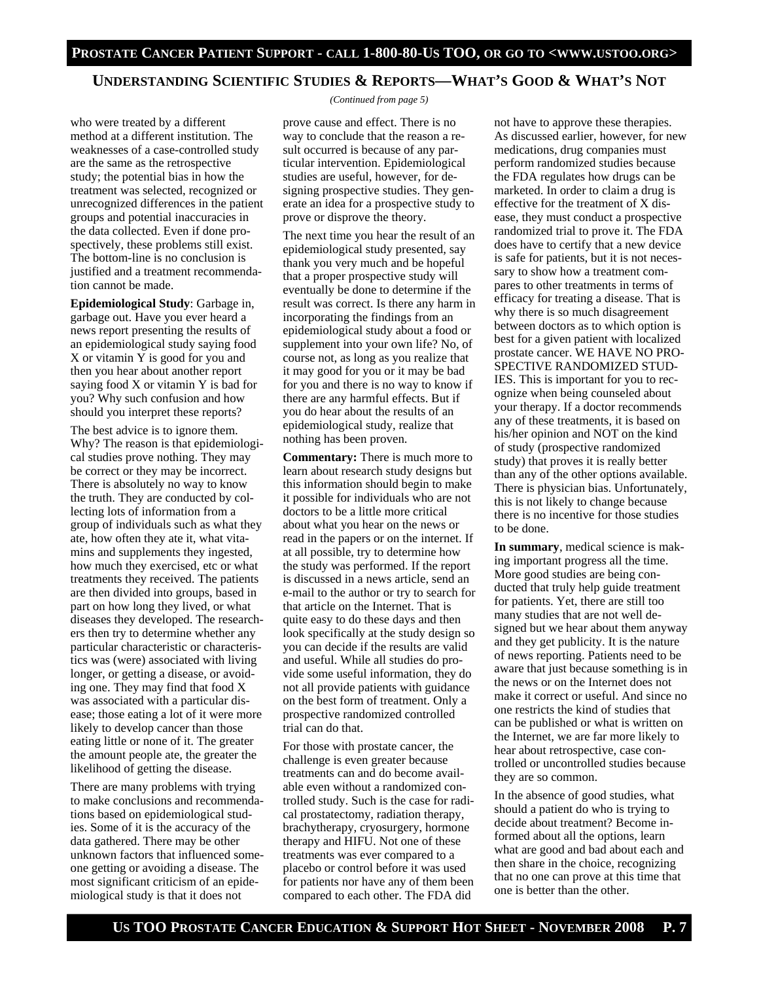## **UNDERSTANDING SCIENTIFIC STUDIES & REPORTS—WHAT'S GOOD & WHAT'S NOT**

who were treated by a different method at a different institution. The weaknesses of a case-controlled study are the same as the retrospective study; the potential bias in how the treatment was selected, recognized or unrecognized differences in the patient groups and potential inaccuracies in the data collected. Even if done prospectively, these problems still exist. The bottom-line is no conclusion is justified and a treatment recommendation cannot be made.

**Epidemiological Study**: Garbage in, garbage out. Have you ever heard a news report presenting the results of an epidemiological study saying food X or vitamin Y is good for you and then you hear about another report saying food X or vitamin Y is bad for you? Why such confusion and how should you interpret these reports?

The best advice is to ignore them. Why? The reason is that epidemiological studies prove nothing. They may be correct or they may be incorrect. There is absolutely no way to know the truth. They are conducted by collecting lots of information from a group of individuals such as what they ate, how often they ate it, what vitamins and supplements they ingested, how much they exercised, etc or what treatments they received. The patients are then divided into groups, based in part on how long they lived, or what diseases they developed. The researchers then try to determine whether any particular characteristic or characteristics was (were) associated with living longer, or getting a disease, or avoiding one. They may find that food X was associated with a particular disease; those eating a lot of it were more likely to develop cancer than those eating little or none of it. The greater the amount people ate, the greater the likelihood of getting the disease.

There are many problems with trying to make conclusions and recommendations based on epidemiological studies. Some of it is the accuracy of the data gathered. There may be other unknown factors that influenced someone getting or avoiding a disease. The most significant criticism of an epidemiological study is that it does not

#### *(Continued from page 5)*

prove cause and effect. There is no way to conclude that the reason a result occurred is because of any particular intervention. Epidemiological studies are useful, however, for designing prospective studies. They generate an idea for a prospective study to prove or disprove the theory.

The next time you hear the result of an epidemiological study presented, say thank you very much and be hopeful that a proper prospective study will eventually be done to determine if the result was correct. Is there any harm in incorporating the findings from an epidemiological study about a food or supplement into your own life? No, of course not, as long as you realize that it may good for you or it may be bad for you and there is no way to know if there are any harmful effects. But if you do hear about the results of an epidemiological study, realize that nothing has been proven.

**Commentary:** There is much more to learn about research study designs but this information should begin to make it possible for individuals who are not doctors to be a little more critical about what you hear on the news or read in the papers or on the internet. If at all possible, try to determine how the study was performed. If the report is discussed in a news article, send an e-mail to the author or try to search for that article on the Internet. That is quite easy to do these days and then look specifically at the study design so you can decide if the results are valid and useful. While all studies do provide some useful information, they do not all provide patients with guidance on the best form of treatment. Only a prospective randomized controlled trial can do that.

For those with prostate cancer, the challenge is even greater because treatments can and do become available even without a randomized controlled study. Such is the case for radical prostatectomy, radiation therapy, brachytherapy, cryosurgery, hormone therapy and HIFU. Not one of these treatments was ever compared to a placebo or control before it was used for patients nor have any of them been compared to each other. The FDA did

not have to approve these therapies. As discussed earlier, however, for new medications, drug companies must perform randomized studies because the FDA regulates how drugs can be marketed. In order to claim a drug is effective for the treatment of X disease, they must conduct a prospective randomized trial to prove it. The FDA does have to certify that a new device is safe for patients, but it is not necessary to show how a treatment compares to other treatments in terms of efficacy for treating a disease. That is why there is so much disagreement between doctors as to which option is best for a given patient with localized prostate cancer. WE HAVE NO PRO-SPECTIVE RANDOMIZED STUD-IES. This is important for you to recognize when being counseled about your therapy. If a doctor recommends any of these treatments, it is based on his/her opinion and NOT on the kind of study (prospective randomized study) that proves it is really better than any of the other options available. There is physician bias. Unfortunately, this is not likely to change because there is no incentive for those studies to be done.

**In summary**, medical science is making important progress all the time. More good studies are being conducted that truly help guide treatment for patients. Yet, there are still too many studies that are not well designed but we hear about them anyway and they get publicity. It is the nature of news reporting. Patients need to be aware that just because something is in the news or on the Internet does not make it correct or useful. And since no one restricts the kind of studies that can be published or what is written on the Internet, we are far more likely to hear about retrospective, case controlled or uncontrolled studies because they are so common.

In the absence of good studies, what should a patient do who is trying to decide about treatment? Become informed about all the options, learn what are good and bad about each and then share in the choice, recognizing that no one can prove at this time that one is better than the other.